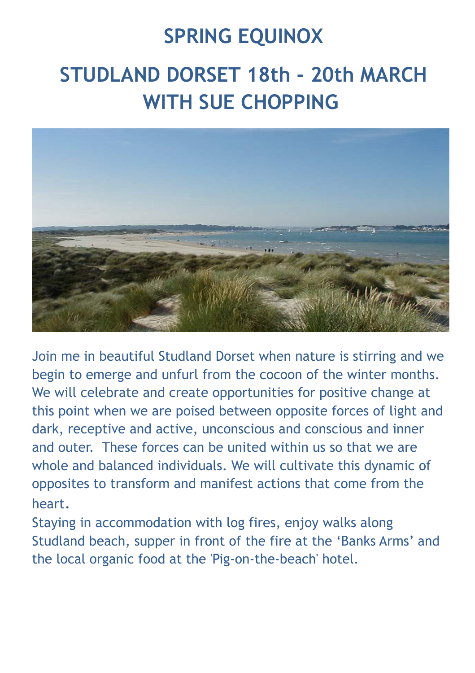## **SPRING EQUINOX**

## **STUDLAND DORSET 18th - 20th MARCH WITH SUE CHOPPING**



Join me in beautiful Studland Dorset when nature is stirring and we begin to emerge and unfurl from the cocoon of the winter months. We will celebrate and create opportunities for positive change at this point when we are poised between opposite forces of light and dark, receptive and active, unconscious and conscious and inner and outer. These forces can be united within us so that we are whole and balanced individuals. We will cultivate this dynamic of opposites to transform and manifest actions that come from the heart.

Staying in accommodation with log fires, enjoy walks along Studland beach, supper in front of the fire at the 'Banks Arms' and the local organic food at the 'Pig-on-the-beach' hotel.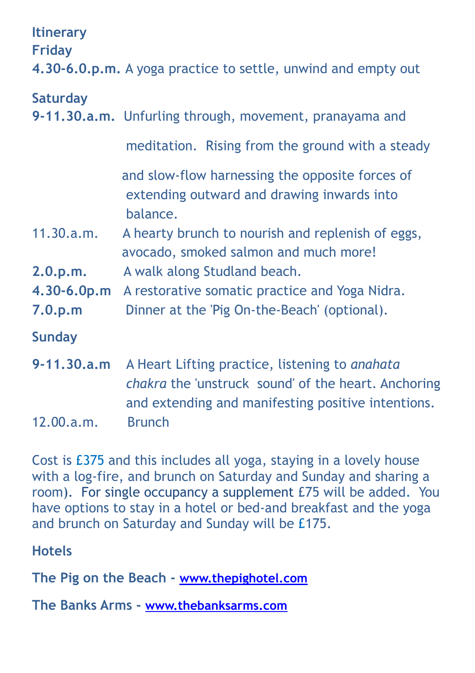| <b>Itinerary</b><br><b>Friday</b> | 4.30-6.0.p.m. A yoga practice to settle, unwind and empty out                                                                                               |
|-----------------------------------|-------------------------------------------------------------------------------------------------------------------------------------------------------------|
| <b>Saturday</b>                   | 9-11.30.a.m. Unfurling through, movement, pranayama and                                                                                                     |
|                                   | meditation. Rising from the ground with a steady                                                                                                            |
|                                   | and slow-flow harnessing the opposite forces of<br>extending outward and drawing inwards into<br>balance.                                                   |
| 11.30.a.m.                        | A hearty brunch to nourish and replenish of eggs,<br>avocado, smoked salmon and much more!                                                                  |
| 2.0.p.m.                          | A walk along Studland beach.                                                                                                                                |
| 4.30-6.0p.m                       | A restorative somatic practice and Yoga Nidra.                                                                                                              |
| 7.0.p.m                           | Dinner at the 'Pig On-the-Beach' (optional).                                                                                                                |
| <b>Sunday</b>                     |                                                                                                                                                             |
| $9 - 11, 30, a, m$                | A Heart Lifting practice, listening to anahata<br>chakra the 'unstruck sound' of the heart. Anchoring<br>and extending and manifesting positive intentions. |
| 12.00.a.m.                        | <b>Brunch</b>                                                                                                                                               |

Cost is £375 and this includes all yoga, staying in a lovely house with a log-fire, and brunch on Saturday and Sunday and sharing a room). For single occupancy a supplement £75 will be added. You have options to stay in a hotel or bed-and breakfast and the yoga and brunch on Saturday and Sunday will be £175.

**Hotels** 

**The Pig on the Beach - [www.thepighotel.com](http://www.thepighotel.com)**

**The Banks Arms - [www.thebanksarms.com](http://www.thebanksarms.com)**